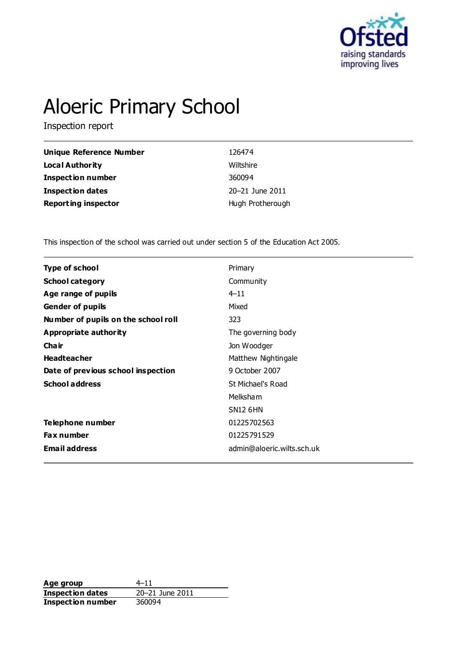

# Aloeric Primary School

Inspection report

| Unique Reference Number    | 126474           |
|----------------------------|------------------|
| Local Authority            | Wiltshire        |
| <b>Inspection number</b>   | 360094           |
| Inspection dates           | 20-21 June 2011  |
| <b>Reporting inspector</b> | Hugh Protherough |

This inspection of the school was carried out under section 5 of the Education Act 2005.

| Type of school                      | Primary                    |
|-------------------------------------|----------------------------|
| <b>School category</b>              | Community                  |
| Age range of pupils                 | $4 - 11$                   |
| <b>Gender of pupils</b>             | Mixed                      |
| Number of pupils on the school roll | 323                        |
| Appropriate authority               | The governing body         |
| Cha ir                              | Jon Woodger                |
| <b>Headteacher</b>                  | Matthew Nightingale        |
| Date of previous school inspection  | 9 October 2007             |
| <b>School address</b>               | St Michael's Road          |
|                                     | Melksham                   |
|                                     | <b>SN12 6HN</b>            |
| <b>Telephone number</b>             | 01225702563                |
| <b>Fax number</b>                   | 01225791529                |
| <b>Email address</b>                | admin@aloeric.wilts.sch.uk |
|                                     |                            |

**Age group**  $4-11$ <br> **Inspection dates**  $20-21$  June 2011 **Inspection dates Inspection number** 360094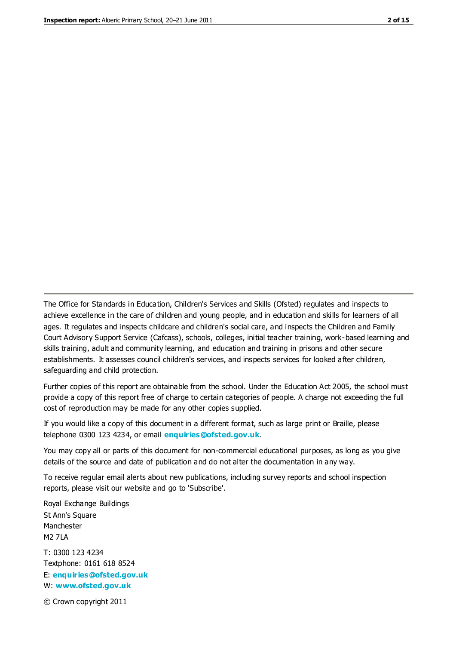The Office for Standards in Education, Children's Services and Skills (Ofsted) regulates and inspects to achieve excellence in the care of children and young people, and in education and skills for learners of all ages. It regulates and inspects childcare and children's social care, and inspects the Children and Family Court Advisory Support Service (Cafcass), schools, colleges, initial teacher training, work-based learning and skills training, adult and community learning, and education and training in prisons and other secure establishments. It assesses council children's services, and inspects services for looked after children, safeguarding and child protection.

Further copies of this report are obtainable from the school. Under the Education Act 2005, the school must provide a copy of this report free of charge to certain categories of people. A charge not exceeding the full cost of reproduction may be made for any other copies supplied.

If you would like a copy of this document in a different format, such as large print or Braille, please telephone 0300 123 4234, or email **[enquiries@ofsted.gov.uk](mailto:enquiries@ofsted.gov.uk)**.

You may copy all or parts of this document for non-commercial educational purposes, as long as you give details of the source and date of publication and do not alter the documentation in any way.

To receive regular email alerts about new publications, including survey reports and school inspection reports, please visit our website and go to 'Subscribe'.

Royal Exchange Buildings St Ann's Square Manchester M2 7LA T: 0300 123 4234 Textphone: 0161 618 8524 E: **[enquiries@ofsted.gov.uk](mailto:enquiries@ofsted.gov.uk)**

W: **[www.ofsted.gov.uk](http://www.ofsted.gov.uk/)**

© Crown copyright 2011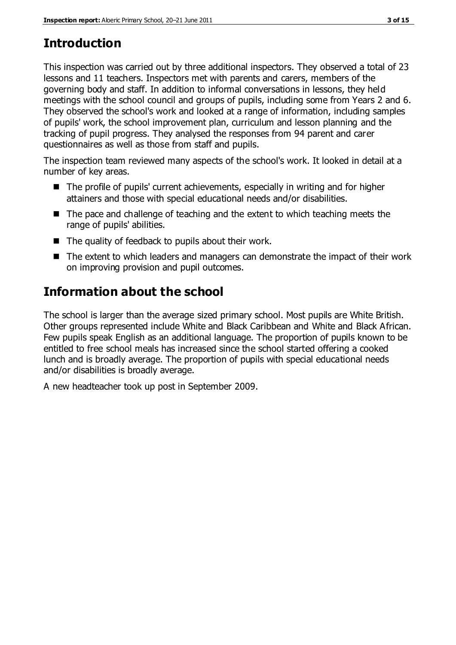## **Introduction**

This inspection was carried out by three additional inspectors. They observed a total of 23 lessons and 11 teachers. Inspectors met with parents and carers, members of the governing body and staff. In addition to informal conversations in lessons, they held meetings with the school council and groups of pupils, including some from Years 2 and 6. They observed the school's work and looked at a range of information, including samples of pupils' work, the school improvement plan, curriculum and lesson planning and the tracking of pupil progress. They analysed the responses from 94 parent and carer questionnaires as well as those from staff and pupils.

The inspection team reviewed many aspects of the school's work. It looked in detail at a number of key areas.

- The profile of pupils' current achievements, especially in writing and for higher attainers and those with special educational needs and/or disabilities.
- The pace and challenge of teaching and the extent to which teaching meets the range of pupils' abilities.
- $\blacksquare$  The quality of feedback to pupils about their work.
- The extent to which leaders and managers can demonstrate the impact of their work on improving provision and pupil outcomes.

## **Information about the school**

The school is larger than the average sized primary school. Most pupils are White British. Other groups represented include White and Black Caribbean and White and Black African. Few pupils speak English as an additional language. The proportion of pupils known to be entitled to free school meals has increased since the school started offering a cooked lunch and is broadly average. The proportion of pupils with special educational needs and/or disabilities is broadly average.

A new headteacher took up post in September 2009.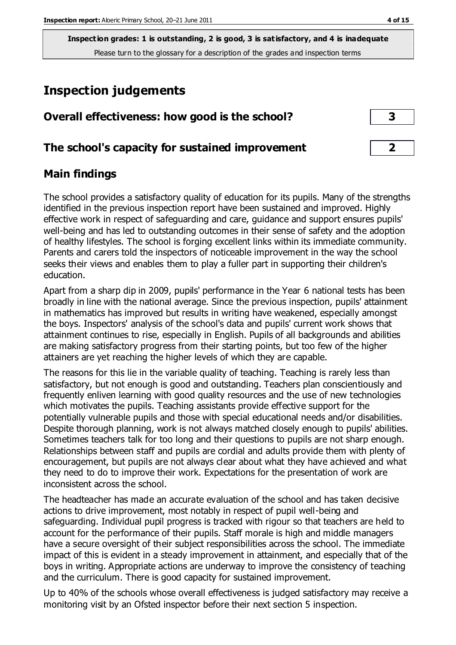## **Inspection judgements**

| Overall effectiveness: how good is the school?  |  |
|-------------------------------------------------|--|
| The school's capacity for sustained improvement |  |

#### **Main findings**

The school provides a satisfactory quality of education for its pupils. Many of the strengths identified in the previous inspection report have been sustained and improved. Highly effective work in respect of safeguarding and care, guidance and support ensures pupils' well-being and has led to outstanding outcomes in their sense of safety and the adoption of healthy lifestyles. The school is forging excellent links within its immediate community. Parents and carers told the inspectors of noticeable improvement in the way the school seeks their views and enables them to play a fuller part in supporting their children's education.

Apart from a sharp dip in 2009, pupils' performance in the Year 6 national tests has been broadly in line with the national average. Since the previous inspection, pupils' attainment in mathematics has improved but results in writing have weakened, especially amongst the boys. Inspectors' analysis of the school's data and pupils' current work shows that attainment continues to rise, especially in English. Pupils of all backgrounds and abilities are making satisfactory progress from their starting points, but too few of the higher attainers are yet reaching the higher levels of which they are capable.

The reasons for this lie in the variable quality of teaching. Teaching is rarely less than satisfactory, but not enough is good and outstanding. Teachers plan conscientiously and frequently enliven learning with good quality resources and the use of new technologies which motivates the pupils. Teaching assistants provide effective support for the potentially vulnerable pupils and those with special educational needs and/or disabilities. Despite thorough planning, work is not always matched closely enough to pupils' abilities. Sometimes teachers talk for too long and their questions to pupils are not sharp enough. Relationships between staff and pupils are cordial and adults provide them with plenty of encouragement, but pupils are not always clear about what they have achieved and what they need to do to improve their work. Expectations for the presentation of work are inconsistent across the school.

The headteacher has made an accurate evaluation of the school and has taken decisive actions to drive improvement, most notably in respect of pupil well-being and safeguarding. Individual pupil progress is tracked with rigour so that teachers are held to account for the performance of their pupils. Staff morale is high and middle managers have a secure oversight of their subject responsibilities across the school. The immediate impact of this is evident in a steady improvement in attainment, and especially that of the boys in writing. Appropriate actions are underway to improve the consistency of teaching and the curriculum. There is good capacity for sustained improvement.

Up to 40% of the schools whose overall effectiveness is judged satisfactory may receive a monitoring visit by an Ofsted inspector before their next section 5 inspection.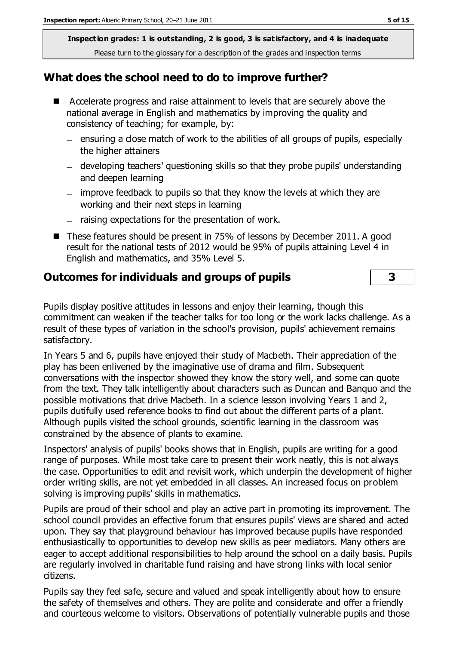#### **What does the school need to do to improve further?**

- Accelerate progress and raise attainment to levels that are securely above the national average in English and mathematics by improving the quality and consistency of teaching; for example, by:
	- $=$  ensuring a close match of work to the abilities of all groups of pupils, especially the higher attainers
	- developing teachers' questioning skills so that they probe pupils' understanding and deepen learning
	- improve feedback to pupils so that they know the levels at which they are working and their next steps in learning
	- raising expectations for the presentation of work.
- These features should be present in 75% of lessons by December 2011. A good result for the national tests of 2012 would be 95% of pupils attaining Level 4 in English and mathematics, and 35% Level 5.

#### **Outcomes for individuals and groups of pupils 3**

Pupils display positive attitudes in lessons and enjoy their learning, though this commitment can weaken if the teacher talks for too long or the work lacks challenge. As a result of these types of variation in the school's provision, pupils' achievement remains satisfactory.

In Years 5 and 6, pupils have enjoyed their study of Macbeth. Their appreciation of the play has been enlivened by the imaginative use of drama and film. Subsequent conversations with the inspector showed they know the story well, and some can quote from the text. They talk intelligently about characters such as Duncan and Banquo and the possible motivations that drive Macbeth. In a science lesson involving Years 1 and 2, pupils dutifully used reference books to find out about the different parts of a plant. Although pupils visited the school grounds, scientific learning in the classroom was constrained by the absence of plants to examine.

Inspectors' analysis of pupils' books shows that in English, pupils are writing for a good range of purposes. While most take care to present their work neatly, this is not always the case. Opportunities to edit and revisit work, which underpin the development of higher order writing skills, are not yet embedded in all classes. An increased focus on problem solving is improving pupils' skills in mathematics.

Pupils are proud of their school and play an active part in promoting its improvement. The school council provides an effective forum that ensures pupils' views are shared and acted upon. They say that playground behaviour has improved because pupils have responded enthusiastically to opportunities to develop new skills as peer mediators. Many others are eager to accept additional responsibilities to help around the school on a daily basis. Pupils are regularly involved in charitable fund raising and have strong links with local senior citizens.

Pupils say they feel safe, secure and valued and speak intelligently about how to ensure the safety of themselves and others. They are polite and considerate and offer a friendly and courteous welcome to visitors. Observations of potentially vulnerable pupils and those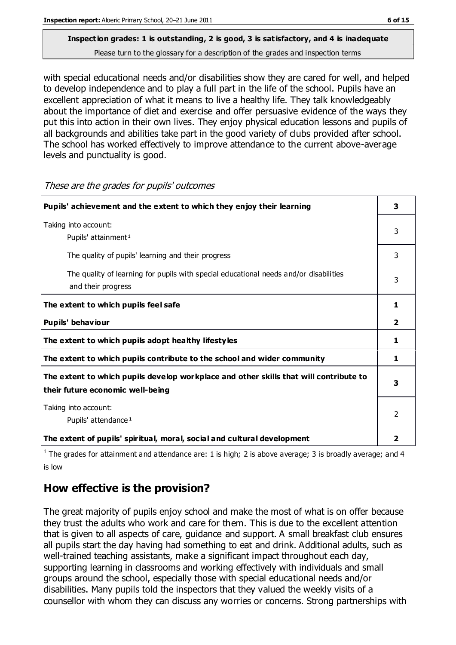with special educational needs and/or disabilities show they are cared for well, and helped to develop independence and to play a full part in the life of the school. Pupils have an excellent appreciation of what it means to live a healthy life. They talk knowledgeably about the importance of diet and exercise and offer persuasive evidence of the ways they put this into action in their own lives. They enjoy physical education lessons and pupils of all backgrounds and abilities take part in the good variety of clubs provided after school. The school has worked effectively to improve attendance to the current above-average levels and punctuality is good.

| Pupils' achievement and the extent to which they enjoy their learning                                                     |                |
|---------------------------------------------------------------------------------------------------------------------------|----------------|
| Taking into account:<br>Pupils' attainment <sup>1</sup>                                                                   |                |
| The quality of pupils' learning and their progress                                                                        | 3              |
| The quality of learning for pupils with special educational needs and/or disabilities<br>and their progress               |                |
| The extent to which pupils feel safe                                                                                      | 1              |
| Pupils' behaviour                                                                                                         | $\overline{2}$ |
| The extent to which pupils adopt healthy lifestyles                                                                       | 1              |
| The extent to which pupils contribute to the school and wider community                                                   | 1              |
| The extent to which pupils develop workplace and other skills that will contribute to<br>their future economic well-being |                |
| Taking into account:<br>Pupils' attendance <sup>1</sup>                                                                   |                |
| The extent of pupils' spiritual, moral, social and cultural development                                                   | 2              |

These are the grades for pupils' outcomes

<sup>1</sup> The grades for attainment and attendance are: 1 is high; 2 is above average; 3 is broadly average; and 4 is low

#### **How effective is the provision?**

The great majority of pupils enjoy school and make the most of what is on offer because they trust the adults who work and care for them. This is due to the excellent attention that is given to all aspects of care, guidance and support. A small breakfast club ensures all pupils start the day having had something to eat and drink. Additional adults, such as well-trained teaching assistants, make a significant impact throughout each day, supporting learning in classrooms and working effectively with individuals and small groups around the school, especially those with special educational needs and/or disabilities. Many pupils told the inspectors that they valued the weekly visits of a counsellor with whom they can discuss any worries or concerns. Strong partnerships with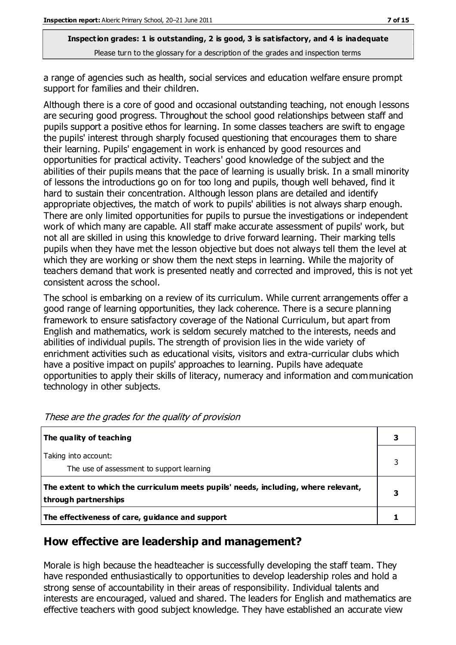a range of agencies such as health, social services and education welfare ensure prompt support for families and their children.

Although there is a core of good and occasional outstanding teaching, not enough lessons are securing good progress. Throughout the school good relationships between staff and pupils support a positive ethos for learning. In some classes teachers are swift to engage the pupils' interest through sharply focused questioning that encourages them to share their learning. Pupils' engagement in work is enhanced by good resources and opportunities for practical activity. Teachers' good knowledge of the subject and the abilities of their pupils means that the pace of learning is usually brisk. In a small minority of lessons the introductions go on for too long and pupils, though well behaved, find it hard to sustain their concentration. Although lesson plans are detailed and identify appropriate objectives, the match of work to pupils' abilities is not always sharp enough. There are only limited opportunities for pupils to pursue the investigations or independent work of which many are capable. All staff make accurate assessment of pupils' work, but not all are skilled in using this knowledge to drive forward learning. Their marking tells pupils when they have met the lesson objective but does not always tell them the level at which they are working or show them the next steps in learning. While the majority of teachers demand that work is presented neatly and corrected and improved, this is not yet consistent across the school.

The school is embarking on a review of its curriculum. While current arrangements offer a good range of learning opportunities, they lack coherence. There is a secure planning framework to ensure satisfactory coverage of the National Curriculum, but apart from English and mathematics, work is seldom securely matched to the interests, needs and abilities of individual pupils. The strength of provision lies in the wide variety of enrichment activities such as educational visits, visitors and extra-curricular clubs which have a positive impact on pupils' approaches to learning. Pupils have adequate opportunities to apply their skills of literacy, numeracy and information and communication technology in other subjects.

| The quality of teaching                                                                                    |  |
|------------------------------------------------------------------------------------------------------------|--|
| Taking into account:<br>The use of assessment to support learning                                          |  |
| The extent to which the curriculum meets pupils' needs, including, where relevant,<br>through partnerships |  |
| The effectiveness of care, guidance and support                                                            |  |

#### **How effective are leadership and management?**

Morale is high because the headteacher is successfully developing the staff team. They have responded enthusiastically to opportunities to develop leadership roles and hold a strong sense of accountability in their areas of responsibility. Individual talents and interests are encouraged, valued and shared. The leaders for English and mathematics are effective teachers with good subject knowledge. They have established an accurate view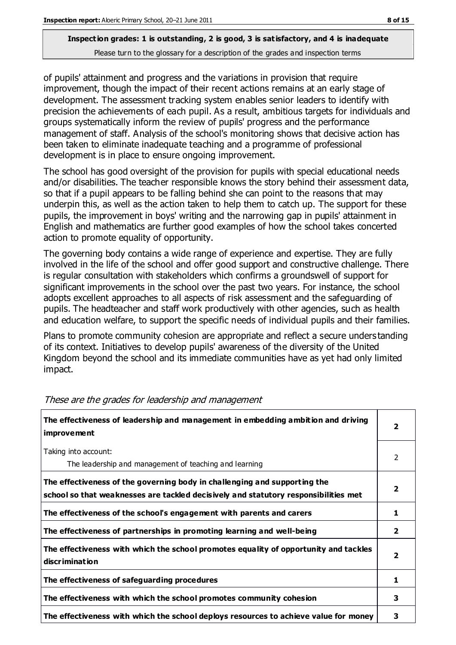# **Inspection grades: 1 is outstanding, 2 is good, 3 is satisfactory, and 4 is inadequate**

Please turn to the glossary for a description of the grades and inspection terms

of pupils' attainment and progress and the variations in provision that require improvement, though the impact of their recent actions remains at an early stage of development. The assessment tracking system enables senior leaders to identify with precision the achievements of each pupil. As a result, ambitious targets for individuals and groups systematically inform the review of pupils' progress and the performance management of staff. Analysis of the school's monitoring shows that decisive action has been taken to eliminate inadequate teaching and a programme of professional development is in place to ensure ongoing improvement.

The school has good oversight of the provision for pupils with special educational needs and/or disabilities. The teacher responsible knows the story behind their assessment data, so that if a pupil appears to be falling behind she can point to the reasons that may underpin this, as well as the action taken to help them to catch up. The support for these pupils, the improvement in boys' writing and the narrowing gap in pupils' attainment in English and mathematics are further good examples of how the school takes concerted action to promote equality of opportunity.

The governing body contains a wide range of experience and expertise. They are fully involved in the life of the school and offer good support and constructive challenge. There is regular consultation with stakeholders which confirms a groundswell of support for significant improvements in the school over the past two years. For instance, the school adopts excellent approaches to all aspects of risk assessment and the safeguarding of pupils. The headteacher and staff work productively with other agencies, such as health and education welfare, to support the specific needs of individual pupils and their families.

Plans to promote community cohesion are appropriate and reflect a secure unders tanding of its context. Initiatives to develop pupils' awareness of the diversity of the United Kingdom beyond the school and its immediate communities have as yet had only limited impact.

| The effectiveness of leadership and management in embedding ambition and driving<br><i>improvement</i>                                                           |                         |
|------------------------------------------------------------------------------------------------------------------------------------------------------------------|-------------------------|
| Taking into account:<br>The leadership and management of teaching and learning                                                                                   | 2                       |
| The effectiveness of the governing body in challenging and supporting the<br>school so that weaknesses are tackled decisively and statutory responsibilities met | $\overline{2}$          |
| The effectiveness of the school's engagement with parents and carers                                                                                             | 1                       |
| The effectiveness of partnerships in promoting learning and well-being                                                                                           | $\mathbf{2}$            |
| The effectiveness with which the school promotes equality of opportunity and tackles<br>discrimination                                                           | $\overline{\mathbf{2}}$ |
| The effectiveness of safeguarding procedures                                                                                                                     | 1                       |
| The effectiveness with which the school promotes community cohesion                                                                                              | 3                       |
| The effectiveness with which the school deploys resources to achieve value for money                                                                             | 3                       |

These are the grades for leadership and management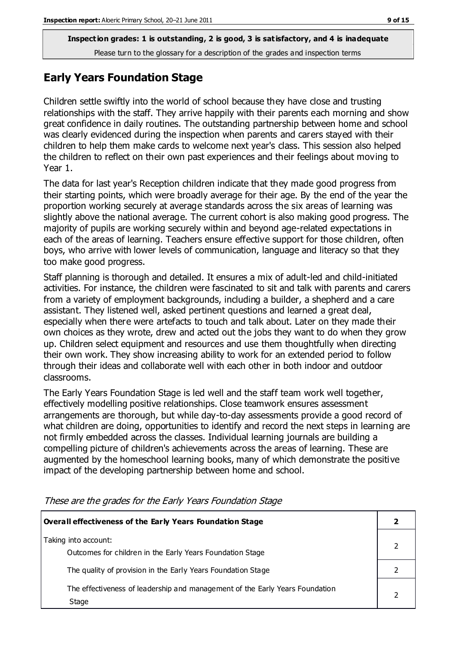#### **Early Years Foundation Stage**

Children settle swiftly into the world of school because they have close and trusting relationships with the staff. They arrive happily with their parents each morning and show great confidence in daily routines. The outstanding partnership between home and school was clearly evidenced during the inspection when parents and carers stayed with their children to help them make cards to welcome next year's class. This session also helped the children to reflect on their own past experiences and their feelings about moving to Year 1.

The data for last year's Reception children indicate that they made good progress from their starting points, which were broadly average for their age. By the end of the year the proportion working securely at average standards across the six areas of learning was slightly above the national average. The current cohort is also making good progress. The majority of pupils are working securely within and beyond age-related expectations in each of the areas of learning. Teachers ensure effective support for those children, often boys, who arrive with lower levels of communication, language and literacy so that they too make good progress.

Staff planning is thorough and detailed. It ensures a mix of adult-led and child-initiated activities. For instance, the children were fascinated to sit and talk with parents and carers from a variety of employment backgrounds, including a builder, a shepherd and a care assistant. They listened well, asked pertinent questions and learned a great deal, especially when there were artefacts to touch and talk about. Later on they made their own choices as they wrote, drew and acted out the jobs they want to do when they grow up. Children select equipment and resources and use them thoughtfully when directing their own work. They show increasing ability to work for an extended period to follow through their ideas and collaborate well with each other in both indoor and outdoor classrooms.

The Early Years Foundation Stage is led well and the staff team work well together, effectively modelling positive relationships. Close teamwork ensures assessment arrangements are thorough, but while day-to-day assessments provide a good record of what children are doing, opportunities to identify and record the next steps in learning are not firmly embedded across the classes. Individual learning journals are building a compelling picture of children's achievements across the areas of learning. These are augmented by the homeschool learning books, many of which demonstrate the positive impact of the developing partnership between home and school.

| Overall effectiveness of the Early Years Foundation Stage                             |  |
|---------------------------------------------------------------------------------------|--|
| Taking into account:<br>Outcomes for children in the Early Years Foundation Stage     |  |
| The quality of provision in the Early Years Foundation Stage                          |  |
| The effectiveness of leadership and management of the Early Years Foundation<br>Stage |  |

These are the grades for the Early Years Foundation Stage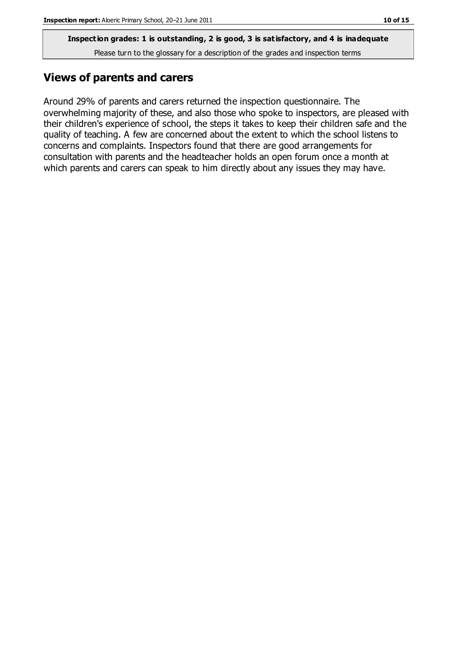#### **Views of parents and carers**

Around 29% of parents and carers returned the inspection questionnaire. The overwhelming majority of these, and also those who spoke to inspectors, are pleased with their children's experience of school, the steps it takes to keep their children safe and the quality of teaching. A few are concerned about the extent to which the school listens to concerns and complaints. Inspectors found that there are good arrangements for consultation with parents and the headteacher holds an open forum once a month at which parents and carers can speak to him directly about any issues they may have.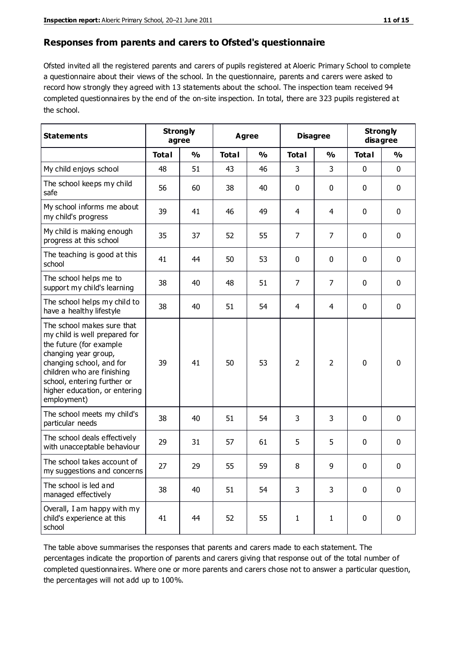#### **Responses from parents and carers to Ofsted's questionnaire**

Ofsted invited all the registered parents and carers of pupils registered at Aloeric Primary School to complete a questionnaire about their views of the school. In the questionnaire, parents and carers were asked to record how strongly they agreed with 13 statements about the school. The inspection team received 94 completed questionnaires by the end of the on-site inspection. In total, there are 323 pupils registered at the school.

| <b>Statements</b>                                                                                                                                                                                                                                       |              | <b>Strongly</b><br><b>Agree</b><br>agree |              | <b>Disagree</b> |                | <b>Strongly</b><br>disagree |              |               |
|---------------------------------------------------------------------------------------------------------------------------------------------------------------------------------------------------------------------------------------------------------|--------------|------------------------------------------|--------------|-----------------|----------------|-----------------------------|--------------|---------------|
|                                                                                                                                                                                                                                                         | <b>Total</b> | $\frac{0}{0}$                            | <b>Total</b> | $\frac{0}{0}$   | <b>Total</b>   | $\frac{0}{0}$               | <b>Total</b> | $\frac{0}{0}$ |
| My child enjoys school                                                                                                                                                                                                                                  | 48           | 51                                       | 43           | 46              | 3              | 3                           | 0            | $\mathbf 0$   |
| The school keeps my child<br>safe                                                                                                                                                                                                                       | 56           | 60                                       | 38           | 40              | 0              | 0                           | $\mathbf 0$  | $\mathbf 0$   |
| My school informs me about<br>my child's progress                                                                                                                                                                                                       | 39           | 41                                       | 46           | 49              | 4              | 4                           | $\mathbf 0$  | $\mathbf 0$   |
| My child is making enough<br>progress at this school                                                                                                                                                                                                    | 35           | 37                                       | 52           | 55              | $\overline{7}$ | $\overline{7}$              | $\mathbf 0$  | $\mathbf 0$   |
| The teaching is good at this<br>school                                                                                                                                                                                                                  | 41           | 44                                       | 50           | 53              | 0              | 0                           | $\mathbf 0$  | $\mathbf 0$   |
| The school helps me to<br>support my child's learning                                                                                                                                                                                                   | 38           | 40                                       | 48           | 51              | $\overline{7}$ | $\overline{7}$              | $\mathbf 0$  | $\mathbf 0$   |
| The school helps my child to<br>have a healthy lifestyle                                                                                                                                                                                                | 38           | 40                                       | 51           | 54              | 4              | 4                           | $\mathbf 0$  | $\mathbf 0$   |
| The school makes sure that<br>my child is well prepared for<br>the future (for example<br>changing year group,<br>changing school, and for<br>children who are finishing<br>school, entering further or<br>higher education, or entering<br>employment) | 39           | 41                                       | 50           | 53              | $\overline{2}$ | $\overline{2}$              | $\mathbf 0$  | $\mathbf 0$   |
| The school meets my child's<br>particular needs                                                                                                                                                                                                         | 38           | 40                                       | 51           | 54              | 3              | 3                           | $\mathbf 0$  | $\mathbf 0$   |
| The school deals effectively<br>with unacceptable behaviour                                                                                                                                                                                             | 29           | 31                                       | 57           | 61              | 5              | 5                           | 0            | 0             |
| The school takes account of<br>my suggestions and concerns                                                                                                                                                                                              | 27           | 29                                       | 55           | 59              | 8              | 9                           | 0            | 0             |
| The school is led and<br>managed effectively                                                                                                                                                                                                            | 38           | 40                                       | 51           | 54              | 3              | 3                           | $\mathbf 0$  | $\mathbf 0$   |
| Overall, I am happy with my<br>child's experience at this<br>school                                                                                                                                                                                     | 41           | 44                                       | 52           | 55              | $\mathbf{1}$   | $\mathbf{1}$                | $\mathbf 0$  | $\mathbf 0$   |

The table above summarises the responses that parents and carers made to each statement. The percentages indicate the proportion of parents and carers giving that response out of the total number of completed questionnaires. Where one or more parents and carers chose not to answer a particular question, the percentages will not add up to 100%.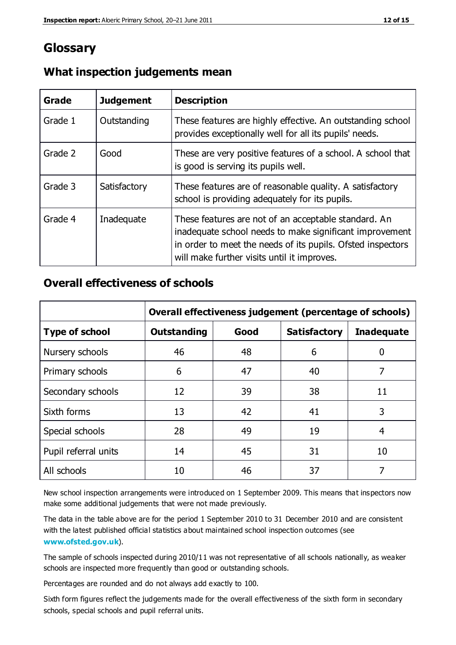### **Glossary**

| Grade   | <b>Judgement</b> | <b>Description</b>                                                                                                                                                                                                            |
|---------|------------------|-------------------------------------------------------------------------------------------------------------------------------------------------------------------------------------------------------------------------------|
| Grade 1 | Outstanding      | These features are highly effective. An outstanding school<br>provides exceptionally well for all its pupils' needs.                                                                                                          |
| Grade 2 | Good             | These are very positive features of a school. A school that<br>is good is serving its pupils well.                                                                                                                            |
| Grade 3 | Satisfactory     | These features are of reasonable quality. A satisfactory<br>school is providing adequately for its pupils.                                                                                                                    |
| Grade 4 | Inadequate       | These features are not of an acceptable standard. An<br>inadequate school needs to make significant improvement<br>in order to meet the needs of its pupils. Ofsted inspectors<br>will make further visits until it improves. |

#### **What inspection judgements mean**

#### **Overall effectiveness of schools**

|                       | Overall effectiveness judgement (percentage of schools) |      |                     |                   |
|-----------------------|---------------------------------------------------------|------|---------------------|-------------------|
| <b>Type of school</b> | <b>Outstanding</b>                                      | Good | <b>Satisfactory</b> | <b>Inadequate</b> |
| Nursery schools       | 46                                                      | 48   | 6                   |                   |
| Primary schools       | 6                                                       | 47   | 40                  | 7                 |
| Secondary schools     | 12                                                      | 39   | 38                  | 11                |
| Sixth forms           | 13                                                      | 42   | 41                  | 3                 |
| Special schools       | 28                                                      | 49   | 19                  | 4                 |
| Pupil referral units  | 14                                                      | 45   | 31                  | 10                |
| All schools           | 10                                                      | 46   | 37                  |                   |

New school inspection arrangements were introduced on 1 September 2009. This means that inspectors now make some additional judgements that were not made previously.

The data in the table above are for the period 1 September 2010 to 31 December 2010 and are consistent with the latest published official statistics about maintained school inspection outcomes (see **[www.ofsted.gov.uk](http://www.ofsted.gov.uk/)**).

The sample of schools inspected during 2010/11 was not representative of all schools nationally, as weaker schools are inspected more frequently than good or outstanding schools.

Percentages are rounded and do not always add exactly to 100.

Sixth form figures reflect the judgements made for the overall effectiveness of the sixth form in secondary schools, special schools and pupil referral units.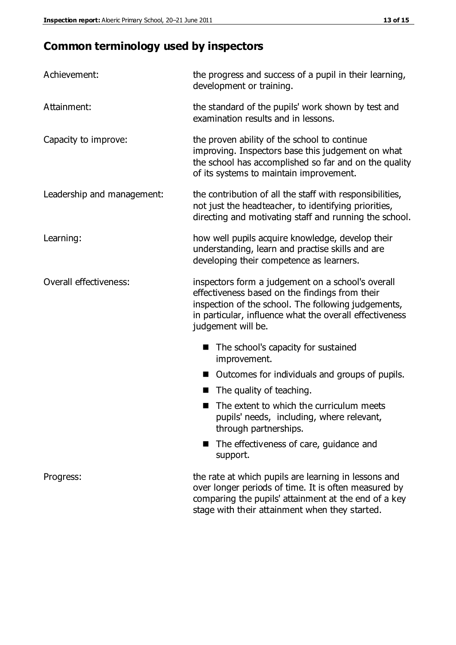## **Common terminology used by inspectors**

| Achievement:               | the progress and success of a pupil in their learning,<br>development or training.                                                                                                                                                          |  |
|----------------------------|---------------------------------------------------------------------------------------------------------------------------------------------------------------------------------------------------------------------------------------------|--|
| Attainment:                | the standard of the pupils' work shown by test and<br>examination results and in lessons.                                                                                                                                                   |  |
| Capacity to improve:       | the proven ability of the school to continue<br>improving. Inspectors base this judgement on what<br>the school has accomplished so far and on the quality<br>of its systems to maintain improvement.                                       |  |
| Leadership and management: | the contribution of all the staff with responsibilities,<br>not just the headteacher, to identifying priorities,<br>directing and motivating staff and running the school.                                                                  |  |
| Learning:                  | how well pupils acquire knowledge, develop their<br>understanding, learn and practise skills and are<br>developing their competence as learners.                                                                                            |  |
| Overall effectiveness:     | inspectors form a judgement on a school's overall<br>effectiveness based on the findings from their<br>inspection of the school. The following judgements,<br>in particular, influence what the overall effectiveness<br>judgement will be. |  |
|                            | The school's capacity for sustained<br>improvement.                                                                                                                                                                                         |  |
|                            | Outcomes for individuals and groups of pupils.                                                                                                                                                                                              |  |
|                            | The quality of teaching.                                                                                                                                                                                                                    |  |
|                            | The extent to which the curriculum meets<br>pupils' needs, including, where relevant,<br>through partnerships.                                                                                                                              |  |
|                            | The effectiveness of care, guidance and<br>support.                                                                                                                                                                                         |  |
| Progress:                  | the rate at which pupils are learning in lessons and<br>over longer periods of time. It is often measured by<br>comparing the pupils' attainment at the end of a key                                                                        |  |

stage with their attainment when they started.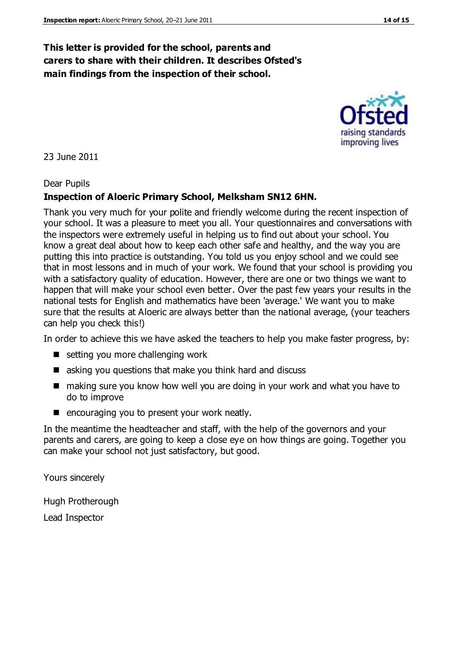#### **This letter is provided for the school, parents and carers to share with their children. It describes Ofsted's main findings from the inspection of their school.**

23 June 2011

#### Dear Pupils

#### **Inspection of Aloeric Primary School, Melksham SN12 6HN.**

Thank you very much for your polite and friendly welcome during the recent inspection of your school. It was a pleasure to meet you all. Your questionnaires and conversations with the inspectors were extremely useful in helping us to find out about your school. You know a great deal about how to keep each other safe and healthy, and the way you are putting this into practice is outstanding. You told us you enjoy school and we could see that in most lessons and in much of your work. We found that your school is providing you with a satisfactory quality of education. However, there are one or two things we want to happen that will make your school even better. Over the past few years your results in the national tests for English and mathematics have been 'average.' We want you to make sure that the results at Aloeric are always better than the national average, (your teachers can help you check this!)

In order to achieve this we have asked the teachers to help you make faster progress, by:

- setting you more challenging work
- asking you questions that make you think hard and discuss
- making sure you know how well you are doing in your work and what you have to do to improve
- $\blacksquare$  encouraging you to present your work neatly.

In the meantime the headteacher and staff, with the help of the governors and your parents and carers, are going to keep a close eye on how things are going. Together you can make your school not just satisfactory, but good.

Yours sincerely

Hugh Protherough

Lead Inspector